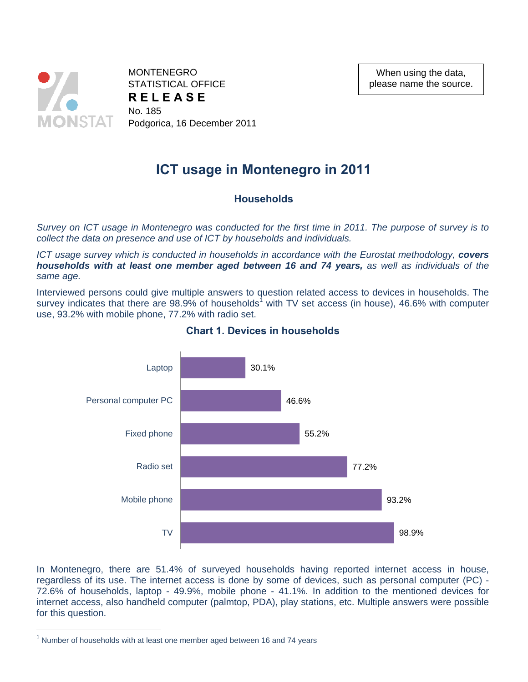

**MONTENEGRO** STATISTICAL OFFICE **R E L E A S E**  No. 185 Podgorica, 16 December 2011

When using the data, please name the source.

# **ICT usage in Montenegro in 2011**

## **Households**

*Survey on ICT usage in Montenegro was conducted for the first time in 2011. The purpose of survey is to collect the data on presence and use of ICT by households and individuals.* 

*ICT usage survey which is conducted in households in accordance with the Eurostat methodology, <i>covers households with at least one member aged between 16 and 74 years, as well as individuals of the same age.* 

Interviewed persons could give multiple answers to question related access to devices in households. The survey indicates that there are 98.9% of households<sup>1</sup> with TV set access (in house), 46.6% with computer use, 93.2% with mobile phone, 77.2% with radio set.



#### **Chart 1. Devices in households**

In Montenegro, there are 51.4% of surveyed households having reported internet access in house, regardless of its use. The internet access is done by some of devices, such as personal computer (PC) - 72.6% of households, laptop - 49.9%, mobile phone - 41.1%. In addition to the mentioned devices for internet access, also handheld computer (palmtop, PDA), play stations, etc. Multiple answers were possible for this question.

 $\overline{a}$ 

 $1$  Number of households with at least one member aged between 16 and 74 years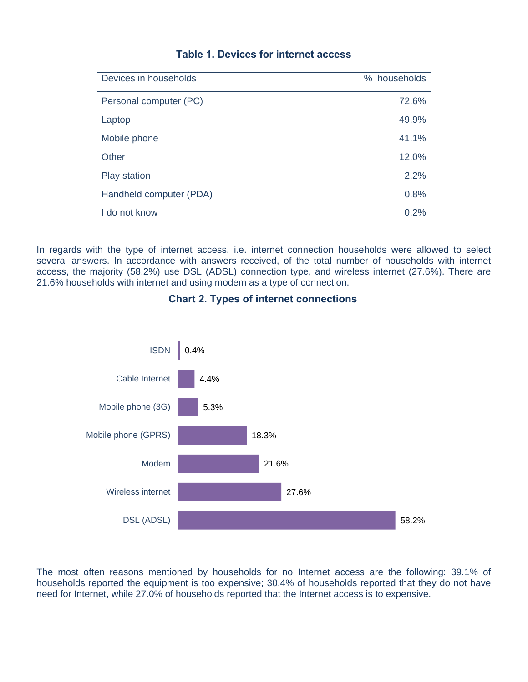| Devices in households   | % households |
|-------------------------|--------------|
| Personal computer (PC)  | 72.6%        |
| Laptop                  | 49.9%        |
| Mobile phone            | 41.1%        |
| Other                   | 12.0%        |
| <b>Play station</b>     | 2.2%         |
| Handheld computer (PDA) | 0.8%         |
| I do not know           | 0.2%         |
|                         |              |

# **Table 1. Devices for internet access**

In regards with the type of internet access, i.e. internet connection households were allowed to select several answers. In accordance with answers received, of the total number of households with internet access, the majority (58.2%) use DSL (ADSL) connection type, and wireless internet (27.6%). There are 21.6% households with internet and using modem as a type of connection.

## **Chart 2. Types of internet connections**



The most often reasons mentioned by households for no Internet access are the following: 39.1% of households reported the equipment is too expensive; 30.4% of households reported that they do not have need for Internet, while 27.0% of households reported that the Internet access is to expensive.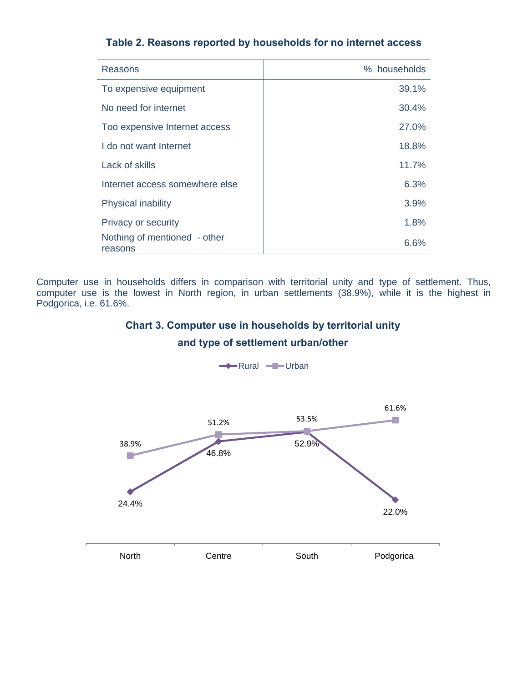|  |  |  |  |  |  |  |  | Table 2. Reasons reported by households for no internet access |  |
|--|--|--|--|--|--|--|--|----------------------------------------------------------------|--|
|--|--|--|--|--|--|--|--|----------------------------------------------------------------|--|

| Reasons                                 | % households |
|-----------------------------------------|--------------|
| To expensive equipment                  | 39.1%        |
| No need for internet                    | 30.4%        |
| Too expensive Internet access           | 27.0%        |
| I do not want Internet                  | 18.8%        |
| Lack of skills                          | 11.7%        |
| Internet access somewhere else          | 6.3%         |
| <b>Physical inability</b>               | 3.9%         |
| Privacy or security                     | 1.8%         |
| Nothing of mentioned - other<br>reasons | 6.6%         |

Computer use in households differs in comparison with territorial unity and type of settlement. Thus, computer use is the lowest in North region, in urban settlements (38.9%), while it is the highest in Podgorica, i.e. 61.6%.

# **Chart 3. Computer use in households by territorial unity**

## **and type of settlement urban/other**



 $\leftarrow$ Rural  $\leftarrow$ Urban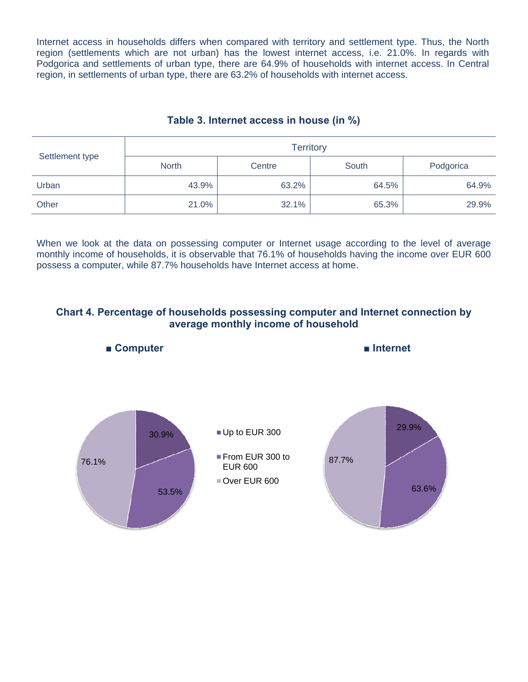Internet access in households differs when compared with territory and settlement type. Thus, the North region (settlements which are not urban) has the lowest internet access, i.e. 21.0%. In regards with Podgorica and settlements of urban type, there are 64.9% of households with internet access. In Central region, in settlements of urban type, there are 63.2% of households with internet access.

# **Table 3. Internet access in house (in %)**

| Settlement type | <b>Territory</b>       |       |       |           |  |  |  |  |
|-----------------|------------------------|-------|-------|-----------|--|--|--|--|
|                 | <b>North</b><br>Centre |       | South | Podgorica |  |  |  |  |
| Urban           | 43.9%                  | 63.2% | 64.5% | 64.9%     |  |  |  |  |
| Other           | 21.0%                  | 32.1% | 65.3% | 29.9%     |  |  |  |  |

When we look at the data on possessing computer or Internet usage according to the level of average monthly income of households, it is observable that 76.1% of households having the income over EUR 600 possess a computer, while 87.7% households have Internet access at home.

## **Chart 4. Percentage of households possessing computer and Internet connection by average monthly income of household**

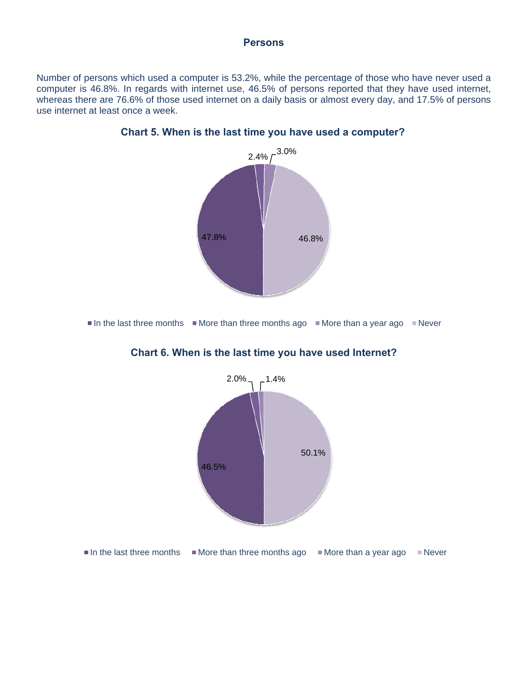#### **Persons**

Number of persons which used a computer is 53.2%, while the percentage of those who have never used a computer is 46.8%. In regards with internet use, 46.5% of persons reported that they have used internet, whereas there are 76.6% of those used internet on a daily basis or almost every day, and 17.5% of persons use internet at least once a week.



**Chart 5. When is the last time you have used a computer?**

In the last three months  $\blacksquare$  More than three months ago  $\blacksquare$  More than a year ago  $\blacksquare$  Never



## **Chart 6. When is the last time you have used Internet?**

In the last three months  $\blacksquare$  More than three months ago  $\blacksquare$  More than a year ago  $\blacksquare$  Never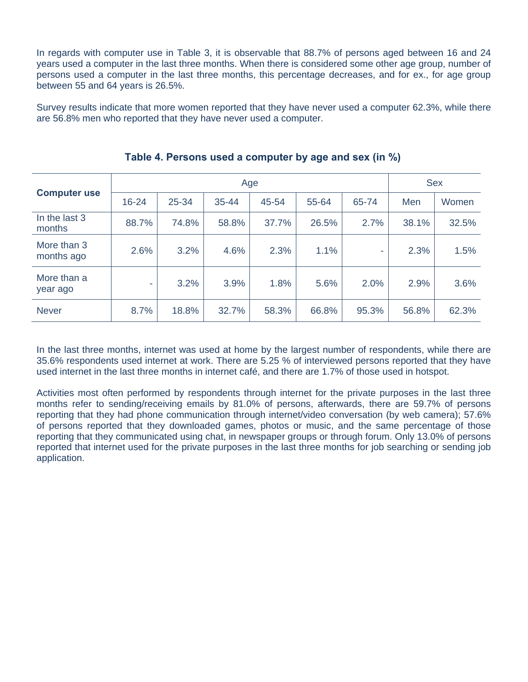In regards with computer use in Table 3, it is observable that 88.7% of persons aged between 16 and 24 years used a computer in the last three months. When there is considered some other age group, number of persons used a computer in the last three months, this percentage decreases, and for ex., for age group between 55 and 64 years is 26.5%.

Survey results indicate that more women reported that they have never used a computer 62.3%, while there are 56.8% men who reported that they have never used a computer.

|                           | Age       |       |           |       |       |       |       | <b>Sex</b> |  |
|---------------------------|-----------|-------|-----------|-------|-------|-------|-------|------------|--|
| <b>Computer use</b>       | $16 - 24$ | 25-34 | $35 - 44$ | 45-54 | 55-64 | 65-74 | Men   | Women      |  |
| In the last 3<br>months   | 88.7%     | 74.8% | 58.8%     | 37.7% | 26.5% | 2.7%  | 38.1% | 32.5%      |  |
| More than 3<br>months ago | 2.6%      | 3.2%  | 4.6%      | 2.3%  | 1.1%  | ٠     | 2.3%  | 1.5%       |  |
| More than a<br>year ago   |           | 3.2%  | 3.9%      | 1.8%  | 5.6%  | 2.0%  | 2.9%  | 3.6%       |  |
| <b>Never</b>              | 8.7%      | 18.8% | 32.7%     | 58.3% | 66.8% | 95.3% | 56.8% | 62.3%      |  |

**Table 4. Persons used a computer by age and sex (in %)**

In the last three months, internet was used at home by the largest number of respondents, while there are 35.6% respondents used internet at work. There are 5.25 % of interviewed persons reported that they have used internet in the last three months in internet café, and there are 1.7% of those used in hotspot.

Activities most often performed by respondents through internet for the private purposes in the last three months refer to sending/receiving emails by 81.0% of persons, afterwards, there are 59.7% of persons reporting that they had phone communication through internet/video conversation (by web camera); 57.6% of persons reported that they downloaded games, photos or music, and the same percentage of those reporting that they communicated using chat, in newspaper groups or through forum. Only 13.0% of persons reported that internet used for the private purposes in the last three months for job searching or sending job application.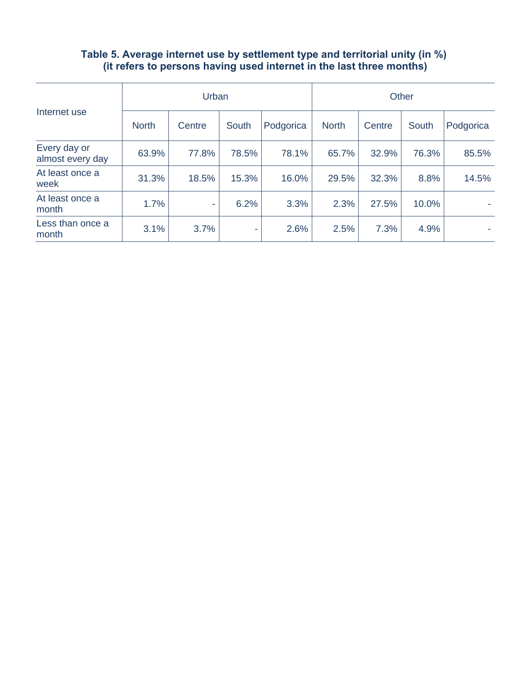#### **Table 5. Average internet use by settlement type and territorial unity (in %) (it refers to persons having used internet in the last three months)**

|                                  |              | Urban  |       | Other     |              |        |       |           |
|----------------------------------|--------------|--------|-------|-----------|--------------|--------|-------|-----------|
| Internet use                     | <b>North</b> | Centre | South | Podgorica | <b>North</b> | Centre | South | Podgorica |
| Every day or<br>almost every day | 63.9%        | 77.8%  | 78.5% | 78.1%     | 65.7%        | 32.9%  | 76.3% | 85.5%     |
| At least once a<br>week          | 31.3%        | 18.5%  | 15.3% | 16.0%     | 29.5%        | 32.3%  | 8.8%  | 14.5%     |
| At least once a<br>month         | 1.7%         | ٠      | 6.2%  | 3.3%      | 2.3%         | 27.5%  | 10.0% |           |
| Less than once a<br>month        | 3.1%         | 3.7%   | ٠     | 2.6%      | 2.5%         | 7.3%   | 4.9%  |           |